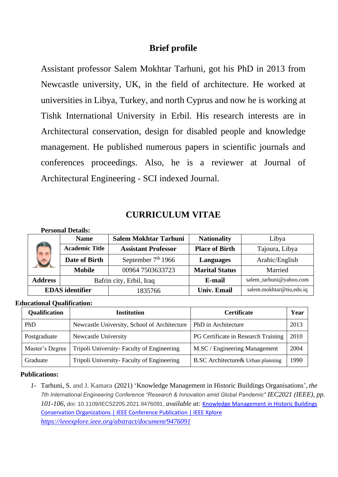# **Brief profile**

Assistant professor Salem Mokhtar Tarhuni, got his PhD in 2013 from Newcastle university, UK, in the field of architecture. He worked at universities in Libya, Turkey, and north Cyprus and now he is working at Tishk International University in Erbil. His research interests are in Architectural conservation, design for disabled people and knowledge management. He published numerous papers in scientific journals and conferences proceedings. Also, he is a reviewer at Journal of Architectural Engineering - SCI indexed Journal.

# **CURRICULUM VITAE**

### **Personal Details:**

|                        | <b>Name</b>           | <b>Salem Mokhtar Tarhuni</b> | <b>Nationality</b>    | Libya                    |
|------------------------|-----------------------|------------------------------|-----------------------|--------------------------|
| 司商                     | <b>Academic Title</b> | <b>Assistant Professor</b>   | <b>Place of Birth</b> | Tajoura, Libya           |
| $\ddot{\phantom{a}}$   | Date of Birth         | September $7th 1966$         | <b>Languages</b>      | Arabic/English           |
|                        | <b>Mobile</b>         | 00964 7503633723             | <b>Marital Status</b> | Married                  |
| <b>Address</b>         |                       | Bafrin city, Erbil, Iraq     | E-mail                | salem_tarhuni@yahoo.com  |
| <b>EDAS</b> identifier |                       | 1835766                      | <b>Univ. Email</b>    | salem.mokhtar@tiu,edu.iq |

### **Educational Qualification:**

| Qualification   | <b>Institution</b>                           | <b>Certificate</b>                  | Year |
|-----------------|----------------------------------------------|-------------------------------------|------|
| PhD             | Newcastle University, School of Architecture | PhD in Architecture                 | 2013 |
| Postgraduate    | Newcastle University                         | PG Certificate in Research Training | 2010 |
| Master's Degree | Tripoli University- Faculty of Engineering   | M.SC / Engineering Management       | 2004 |
| Graduate        | Tripoli University-Faculty of Engineering    | B.SC Architecture & Urban planning  | 1990 |

### **Publications:**

*1-* Tarhuni, S. and J. Kamara (2021) 'Knowledge Management in Historic Buildings Organisations'*, the 7th International Engineering Conference "Research & Innovation amid Global Pandemic" IEC2021 (IEEE), pp. 101-106,* doi: 10.1109/IEC52205.2021.9476091, *available at:* [Knowledge Management in Historic Buildings](https://ieeexplore.ieee.org/abstract/document/9476091)  [Conservation Organizations | IEEE Conference Publication | IEEE Xplore](https://ieeexplore.ieee.org/abstract/document/9476091) *<https://ieeexplore.ieee.org/abstract/document/9476091>*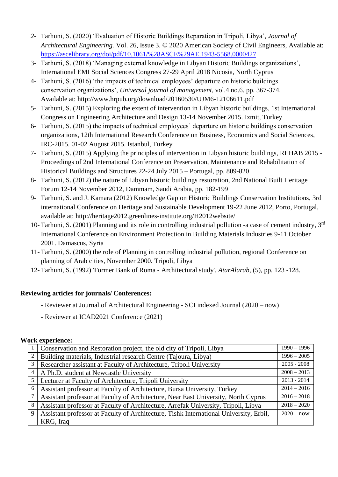- *2-* Tarhuni, S. (2020) 'Evaluation of Historic Buildings Reparation in Tripoli, Libya'*, Journal of Architectural Engineering.* Vol. 26, Issue 3. © 2020 American Society of Civil Engineers, Available at: <https://ascelibrary.org/doi/pdf/10.1061/%28ASCE%29AE.1943-5568.0000427>
- 3- Tarhuni, S. (2018) 'Managing external knowledge in Libyan Historic Buildings organizations', International EMI Social Sciences Congress 27-29 April 2018 Nicosia, North Cyprus
- 4- Tarhuni, S. (2016) 'the impacts of technical employees' departure on historic buildings conservation organizations', *Universal journal of management*, vol.4 no.6. pp. 367-374. Available at: http://www.hrpub.org/download/20160530/UJM6-12106611.pdf
- 5- Tarhuni, S. (2015) Exploring the extent of intervention in Libyan historic buildings, 1st International Congress on Engineering Architecture and Design 13-14 November 2015. Izmit, Turkey
- 6- Tarhuni, S. (2015) the impacts of technical employees' departure on historic buildings conservation organizations, 12th International Research Conference on Business, Economics and Social Sciences, IRC-2015. 01-02 August 2015. Istanbul, Turkey
- 7- Tarhuni, S. (2015) Applying the principles of intervention in Libyan historic buildings, REHAB 2015 Proceedings of 2nd International Conference on Preservation, Maintenance and Rehabilitation of Historical Buildings and Structures 22-24 July 2015 – Portugal, pp. 809-820
- 8- Tarhuni, S. (2012) the nature of Libyan historic buildings restoration, 2nd National Built Heritage Forum 12-14 November 2012, Dammam, Saudi Arabia, pp. 182-199
- 9- Tarhuni, S. and J. Kamara (2012) Knowledge Gap on Historic Buildings Conservation Institutions, 3rd international Conference on Heritage and Sustainable Development 19-22 June 2012, Porto, Portugal, available at: http://heritage2012.greenlines-institute.org/H2012website/
- 10- Tarhuni, S. (2001) Planning and its role in controlling industrial pollution -a case of cement industry, 3rd International Conference on Environment Protection in Building Materials Industries 9-11 October 2001. Damascus, Syria
- 11- Tarhuni, S. (2000) the role of Planning in controlling industrial pollution, regional Conference on planning of Arab cities, November 2000. Tripoli, Libya
- 12- Tarhuni, S. (1992) 'Former Bank of Roma Architectural study', *AtarAlarab*, (5), pp. 123 -128.

## **Reviewing articles for journals/ Conferences:**

- Reviewer at Journal of Architectural Engineering SCI indexed Journal (2020 now)
- Reviewer at ICAD2021 Conference (2021)

## **Work experience:**

|                | Conservation and Restoration project, the old city of Tripoli, Libya                   | $1990 - 1996$ |
|----------------|----------------------------------------------------------------------------------------|---------------|
| 2              | Building materials, Industrial research Centre (Tajoura, Libya)                        | $1996 - 2005$ |
| 3              | Researcher assistant at Faculty of Architecture, Tripoli University                    | $2005 - 2008$ |
| $\overline{4}$ | A Ph.D. student at Newcastle University                                                | $2008 - 2013$ |
| 5              | Lecturer at Faculty of Architecture, Tripoli University                                | $2013 - 2014$ |
| 6              | Assistant professor at Faculty of Architecture, Bursa University, Turkey               | $2014 - 2016$ |
|                | Assistant professor at Faculty of Architecture, Near East University, North Cyprus     | $2016 - 2018$ |
| 8              | Assistant professor at Faculty of Architecture, Arrefak University, Tripoli, Libya     | $2018 - 2020$ |
| 9              | Assistant professor at Faculty of Architecture, Tishk International University, Erbil, | $2020 - now$  |
|                | KRG, Iraq                                                                              |               |